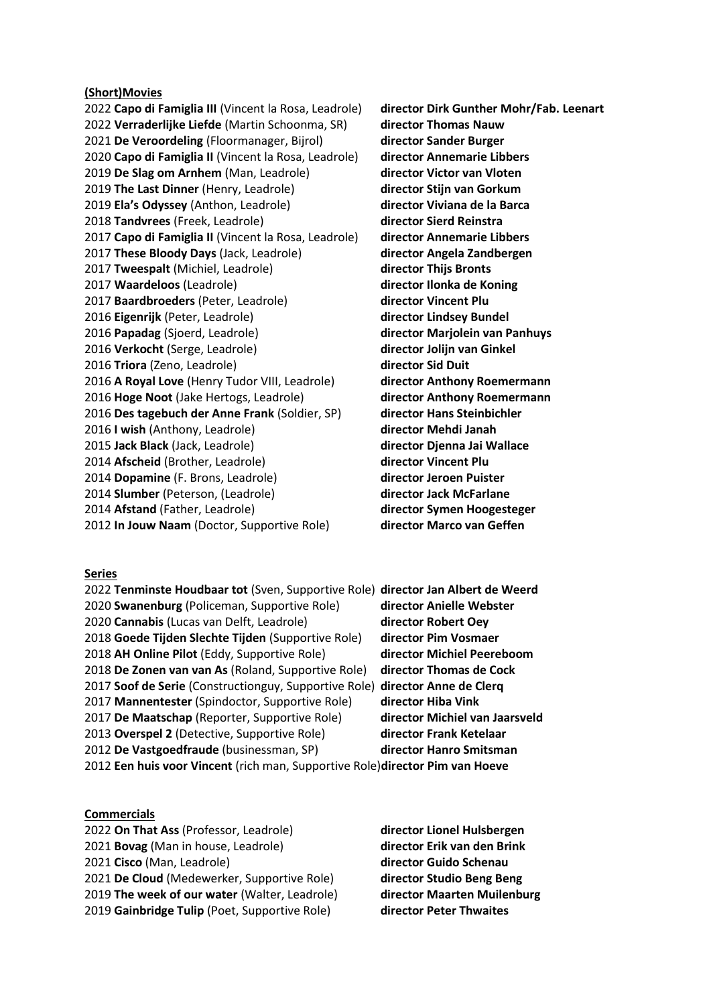### **(Short)Movies**

**Capo di Famiglia III** (Vincent la Rosa, Leadrole) **director Dirk Gunther Mohr/Fab. Leenart Verraderlijke Liefde** (Martin Schoonma, SR) **director Thomas Nauw De Veroordeling** (Floormanager, Bijrol) **director Sander Burger Capo di Famiglia II** (Vincent la Rosa, Leadrole) **director Annemarie Libbers De Slag om Arnhem** (Man, Leadrole) **director Victor van Vloten The Last Dinner** (Henry, Leadrole) **director Stijn van Gorkum Ela's Odyssey** (Anthon, Leadrole) **director Viviana de la Barca Tandvrees** (Freek, Leadrole) **director Sierd Reinstra Capo di Famiglia II** (Vincent la Rosa, Leadrole) **director Annemarie Libbers These Bloody Days** (Jack, Leadrole) **director Angela Zandbergen Tweespalt** (Michiel, Leadrole) **director Thijs Bronts Waardeloos** (Leadrole) **director Ilonka de Koning Baardbroeders** (Peter, Leadrole) **director Vincent Plu Eigenrijk** (Peter, Leadrole) **director Lindsey Bundel Papadag** (Sjoerd, Leadrole) **director Marjolein van Panhuys Verkocht** (Serge, Leadrole) **director Jolijn van Ginkel Triora** (Zeno, Leadrole) **director Sid Duit A Royal Love** (Henry Tudor VIII, Leadrole) **director Anthony Roemermann Hoge Noot** (Jake Hertogs, Leadrole) **director Anthony Roemermann Des tagebuch der Anne Frank** (Soldier, SP) **director Hans Steinbichler I wish** (Anthony, Leadrole) **director Mehdi Janah Jack Black** (Jack, Leadrole) **director Djenna Jai Wallace Afscheid** (Brother, Leadrole) **director Vincent Plu Dopamine** (F. Brons, Leadrole) **director Jeroen Puister Slumber** (Peterson, (Leadrole) **director Jack McFarlane Afstand** (Father, Leadrole) **director Symen Hoogesteger In Jouw Naam** (Doctor, Supportive Role) **director Marco van Geffen** 

#### **Series**

**Tenminste Houdbaar tot** (Sven, Supportive Role) **director Jan Albert de Weerd Swanenburg** (Policeman, Supportive Role) **director Anielle Webster Cannabis** (Lucas van Delft, Leadrole) **director Robert Oey Goede Tijden Slechte Tijden** (Supportive Role) **director Pim Vosmaer AH Online Pilot** (Eddy, Supportive Role) **director Michiel Peereboom De Zonen van van As** (Roland, Supportive Role) **director Thomas de Cock Soof de Serie** (Constructionguy, Supportive Role) **director Anne de Clerq Mannentester** (Spindoctor, Supportive Role) **director Hiba Vink De Maatschap** (Reporter, Supportive Role) **director Michiel van Jaarsveld Overspel 2** (Detective, Supportive Role) **director Frank Ketelaar De Vastgoedfraude** (businessman, SP) **director Hanro Smitsman Een huis voor Vincent** (rich man, Supportive Role)**director Pim van Hoeve**

# **Commercials**

**On That Ass** (Professor, Leadrole) **director Lionel Hulsbergen Bovag** (Man in house, Leadrole) **director Erik van den Brink Cisco** (Man, Leadrole) **director Guido Schenau De Cloud** (Medewerker, Supportive Role) **director Studio Beng Beng The week of our water** (Walter, Leadrole) **director Maarten Muilenburg Gainbridge Tulip** (Poet, Supportive Role) **director Peter Thwaites**